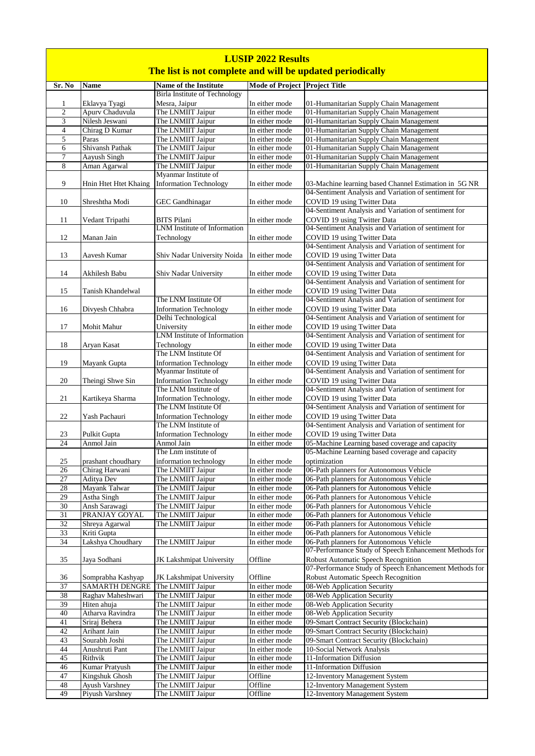| <b>LUSIP 2022 Results</b> |                                   |                                                       |                                                           |                                                                                                      |  |
|---------------------------|-----------------------------------|-------------------------------------------------------|-----------------------------------------------------------|------------------------------------------------------------------------------------------------------|--|
|                           |                                   |                                                       | The list is not complete and will be updated periodically |                                                                                                      |  |
| Sr. No                    | <b>Name</b>                       | <b>Name of the Institute</b>                          | Mode of Project Project Title                             |                                                                                                      |  |
|                           |                                   | <b>Birla Institute of Technology</b>                  |                                                           |                                                                                                      |  |
| 1<br>$\mathfrak{2}$       | Eklavya Tyagi<br>Apurv Chaduvula  | Mesra, Jaipur<br>The LNMIIT Jaipur                    | In either mode<br>In either mode                          | 01-Humanitarian Supply Chain Management<br>01-Humanitarian Supply Chain Management                   |  |
| 3                         | Nilesh Jeswani                    | The LNMIIT Jaipur                                     | In either mode                                            | 01-Humanitarian Supply Chain Management                                                              |  |
| $\overline{4}$            | Chirag D Kumar                    | The LNMIIT Jaipur                                     | In either mode                                            | 01-Humanitarian Supply Chain Management                                                              |  |
| 5                         | Paras                             | The LNMIIT Jaipur                                     | In either mode                                            | 01-Humanitarian Supply Chain Management                                                              |  |
| 6                         | Shivansh Pathak                   | The LNMIIT Jaipur                                     | In either mode                                            | 01-Humanitarian Supply Chain Management                                                              |  |
| 7<br>8                    | Aayush Singh<br>Aman Agarwal      | The LNMIIT Jaipur<br>The LNMIIT Jaipur                | In either mode<br>In either mode                          | 01-Humanitarian Supply Chain Management<br>01-Humanitarian Supply Chain Management                   |  |
| 9                         | Hnin Htet Htet Khaing             | Myanmar Institute of<br><b>Information Technology</b> | In either mode                                            | 03-Machine learning based Channel Estimation in 5G NR                                                |  |
| 10                        | Shreshtha Modi                    | <b>GEC</b> Gandhinagar                                | In either mode                                            | 04-Sentiment Analysis and Variation of sentiment for<br>COVID 19 using Twitter Data                  |  |
| 11                        | Vedant Tripathi                   | <b>BITS</b> Pilani                                    | In either mode                                            | 04-Sentiment Analysis and Variation of sentiment for<br>COVID 19 using Twitter Data                  |  |
| 12                        | Manan Jain                        | LNM Institute of Information<br>Technology            | In either mode                                            | 04-Sentiment Analysis and Variation of sentiment for<br>COVID 19 using Twitter Data                  |  |
| 13                        | Aavesh Kumar                      | Shiv Nadar University Noida                           | In either mode                                            | 04-Sentiment Analysis and Variation of sentiment for<br>COVID 19 using Twitter Data                  |  |
| 14                        | Akhilesh Babu                     | Shiv Nadar University                                 | In either mode                                            | 04-Sentiment Analysis and Variation of sentiment for<br>COVID 19 using Twitter Data                  |  |
| 15                        | Tanish Khandelwal                 |                                                       | In either mode                                            | 04-Sentiment Analysis and Variation of sentiment for<br>COVID 19 using Twitter Data                  |  |
| 16                        | Divyesh Chhabra                   | The LNM Institute Of<br><b>Information Technology</b> | In either mode                                            | 04-Sentiment Analysis and Variation of sentiment for<br>COVID 19 using Twitter Data                  |  |
| 17                        | Mohit Mahur                       | Delhi Technological<br>University                     | In either mode                                            | 04-Sentiment Analysis and Variation of sentiment for<br>COVID 19 using Twitter Data                  |  |
| 18                        | Aryan Kasat                       | <b>LNM</b> Institute of Information<br>Technology     | In either mode                                            | 04-Sentiment Analysis and Variation of sentiment for<br>COVID 19 using Twitter Data                  |  |
| 19                        | Mayank Gupta                      | The LNM Institute Of<br><b>Information Technology</b> | In either mode                                            | 04-Sentiment Analysis and Variation of sentiment for<br>COVID 19 using Twitter Data                  |  |
| 20                        | Theingi Shwe Sin                  | Myanmar Institute of<br><b>Information Technology</b> | In either mode                                            | 04-Sentiment Analysis and Variation of sentiment for<br>COVID 19 using Twitter Data                  |  |
|                           |                                   | The LNM Institute of                                  | In either mode                                            | 04-Sentiment Analysis and Variation of sentiment for                                                 |  |
| 21                        | Kartikeya Sharma                  | Information Technology,<br>The LNM Institute Of       |                                                           | COVID 19 using Twitter Data<br>04-Sentiment Analysis and Variation of sentiment for                  |  |
| 22                        | Yash Pachauri                     | <b>Information Technology</b><br>The LNM Institute of | In either mode                                            | COVID 19 using Twitter Data<br>04-Sentiment Analysis and Variation of sentiment for                  |  |
| 23<br>$\overline{24}$     | Pulkit Gupta                      | <b>Information Technology</b>                         | In either mode                                            | COVID 19 using Twitter Data                                                                          |  |
|                           | Anmol Jain                        | Anmol Jain<br>The Lnm institute of                    | In either mode                                            | 05-Machine Learning based coverage and capacity<br>05-Machine Learning based coverage and capacity   |  |
| 25                        | prashant choudhary                | information technology                                | In either mode                                            | optimization                                                                                         |  |
| $26\,$                    | Chirag Harwani                    | The LNMIIT Jaipur                                     | In either mode                                            | 06-Path planners for Autonomous Vehicle                                                              |  |
| $\overline{27}$           | <b>Aditya Dev</b>                 | The LNMIIT Jaipur                                     | In either mode                                            | 06-Path planners for Autonomous Vehicle                                                              |  |
| 28                        | Mayank Talwar                     | The LNMIIT Jaipur                                     | In either mode                                            | 06-Path planners for Autonomous Vehicle                                                              |  |
| 29                        | Astha Singh                       | The LNMIIT Jaipur                                     | In either mode                                            | 06-Path planners for Autonomous Vehicle                                                              |  |
| 30                        | Ansh Sarawagi                     | The LNMIIT Jaipur                                     | In either mode                                            | 06-Path planners for Autonomous Vehicle                                                              |  |
| 31<br>32                  | PRANJAY GOYAL<br>Shreya Agarwal   | The LNMIIT Jaipur<br>The LNMIIT Jaipur                | In either mode<br>In either mode                          | 06-Path planners for Autonomous Vehicle<br>06-Path planners for Autonomous Vehicle                   |  |
| 33                        | Kriti Gupta                       |                                                       | In either mode                                            | 06-Path planners for Autonomous Vehicle                                                              |  |
| $\overline{34}$           | Lakshya Choudhary                 | The LNMIIT Jaipur                                     | In either mode                                            | 06-Path planners for Autonomous Vehicle                                                              |  |
| 35                        | Jaya Sodhani                      | JK Lakshmipat University                              | Offline                                                   | 07-Performance Study of Speech Enhancement Methods for<br>Robust Automatic Speech Recognition        |  |
| 36                        | Somprabha Kashyap                 | <b>JK Lakshmipat University</b>                       | Offline                                                   | 07-Performance Study of Speech Enhancement Methods for<br><b>Robust Automatic Speech Recognition</b> |  |
| 37                        | SAMARTH DENGRE                    | The LNMIIT Jaipur                                     | In either mode                                            | 08-Web Application Security                                                                          |  |
| 38                        | Raghav Maheshwari                 | The LNMIIT Jaipur                                     | In either mode                                            | 08-Web Application Security                                                                          |  |
| 39                        | Hiten ahuja                       | The LNMIIT Jaipur                                     | In either mode                                            | 08-Web Application Security                                                                          |  |
| 40<br>41                  | Atharva Ravindra<br>Sriraj Behera | The LNMIIT Jaipur<br>The LNMIIT Jaipur                | In either mode<br>In either mode                          | 08-Web Application Security<br>09-Smart Contract Security (Blockchain)                               |  |
| 42                        | Arihant Jain                      | The LNMIIT Jaipur                                     | In either mode                                            | 09-Smart Contract Security (Blockchain)                                                              |  |
| 43                        | Sourabh Joshi                     | The LNMIIT Jaipur                                     | In either mode                                            | 09-Smart Contract Security (Blockchain)                                                              |  |
| 44                        | Anushruti Pant                    | The LNMIIT Jaipur                                     | In either mode                                            | 10-Social Network Analysis                                                                           |  |
| 45                        | Rithvik                           | The LNMIIT Jaipur                                     | In either mode                                            | 11-Information Diffusion                                                                             |  |
| 46                        | Kumar Pratyush                    | The LNMIIT Jaipur                                     | In either mode                                            | 11-Information Diffusion                                                                             |  |
| 47                        | Kingshuk Ghosh                    | The LNMIIT Jaipur                                     | Offline                                                   | 12-Inventory Management System                                                                       |  |
| 48                        | <b>Ayush Varshney</b>             | The LNMIIT Jaipur                                     | Offline                                                   | 12-Inventory Management System                                                                       |  |
| 49                        | Piyush Varshney                   | The LNMIIT Jaipur                                     | Offline                                                   | 12-Inventory Management System                                                                       |  |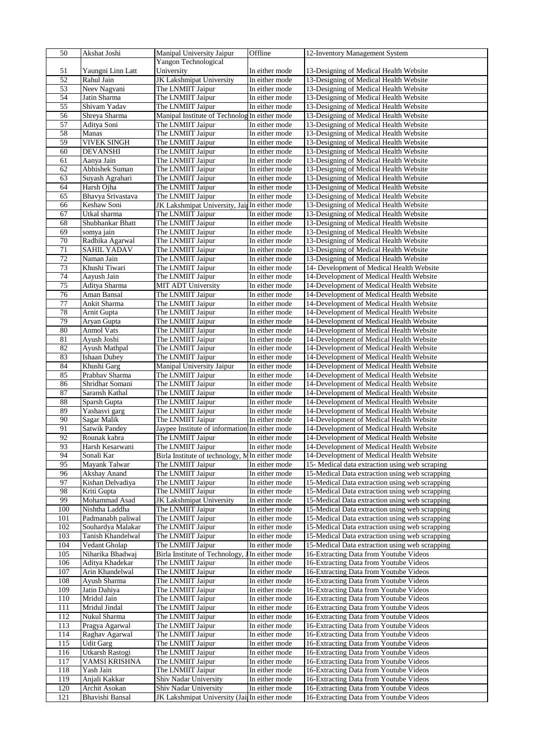| 50         | Akshat Joshi                       | Manipal University Jaipur                                              | Offline                          | 12-Inventory Management System                                                       |
|------------|------------------------------------|------------------------------------------------------------------------|----------------------------------|--------------------------------------------------------------------------------------|
|            |                                    | Yangon Technological                                                   |                                  |                                                                                      |
| 51         | Yaungni Linn Latt                  | University                                                             | In either mode                   | 13-Designing of Medical Health Website                                               |
| 52<br>53   | Rahul Jain<br>Neev Nagvani         | <b>JK</b> Lakshmipat University<br>The LNMIIT Jaipur                   | In either mode<br>In either mode | 13-Designing of Medical Health Website<br>13-Designing of Medical Health Website     |
| 54         | Jatin Sharma                       | The LNMIIT Jaipur                                                      | In either mode                   | 13-Designing of Medical Health Website                                               |
| 55         | Shivam Yadav                       | The LNMIIT Jaipur                                                      | In either mode                   | 13-Designing of Medical Health Website                                               |
| 56         | Shreya Sharma                      | Manipal Institute of Technolog In either mode                          |                                  | 13-Designing of Medical Health Website                                               |
| 57         | Aditya Soni                        | The LNMIIT Jaipur                                                      | In either mode                   | 13-Designing of Medical Health Website                                               |
| 58         | Manas                              | The LNMIIT Jaipur                                                      | In either mode                   | 13-Designing of Medical Health Website                                               |
| 59         | <b>VIVEK SINGH</b>                 | The LNMIIT Jaipur                                                      | In either mode                   | 13-Designing of Medical Health Website                                               |
| 60         | <b>DEVANSHI</b>                    | The LNMIIT Jaipur                                                      | In either mode                   | 13-Designing of Medical Health Website                                               |
| 61         | Aanya Jain                         | The LNMIIT Jaipur                                                      | In either mode                   | 13-Designing of Medical Health Website                                               |
| 62         | Abhishek Suman                     | The LNMIIT Jaipur                                                      | In either mode                   | 13-Designing of Medical Health Website                                               |
| 63         | Suyash Agrahari                    | The LNMIIT Jaipur                                                      | In either mode                   | 13-Designing of Medical Health Website                                               |
| 64         | Harsh Ojha                         | The LNMIIT Jaipur                                                      | In either mode                   | 13-Designing of Medical Health Website                                               |
| 65<br>66   | Bhavya Srivastava<br>Keshaw Soni   | The LNMIIT Jaipur<br>JK Lakshmipat University, Jain In either mode     | In either mode                   | 13-Designing of Medical Health Website<br>13-Designing of Medical Health Website     |
| 67         | Utkal sharma                       | The LNMIIT Jaipur                                                      | In either mode                   | 13-Designing of Medical Health Website                                               |
| 68         | Shubhankar Bhatt                   | The LNMIIT Jaipur                                                      | In either mode                   | 13-Designing of Medical Health Website                                               |
| 69         | somya jain                         | The LNMIIT Jaipur                                                      | In either mode                   | 13-Designing of Medical Health Website                                               |
| 70         | Radhika Agarwal                    | The LNMIIT Jaipur                                                      | In either mode                   | 13-Designing of Medical Health Website                                               |
| 71         | SAHIL YADAV                        | The LNMIIT Jaipur                                                      | In either mode                   | 13-Designing of Medical Health Website                                               |
| 72         | Naman Jain                         | The LNMIIT Jaipur                                                      | In either mode                   | 13-Designing of Medical Health Website                                               |
| 73         | Khushi Tiwari                      | The LNMIIT Jaipur                                                      | In either mode                   | 14- Development of Medical Health Website                                            |
| 74         | Aayush Jain                        | The LNMIIT Jaipur                                                      | In either mode                   | 14-Development of Medical Health Website                                             |
| 75         | Aditya Sharma                      | MIT ADT University                                                     | In either mode                   | 14-Development of Medical Health Website                                             |
| 76         | Aman Bansal                        | The LNMIIT Jaipur                                                      | In either mode                   | 14-Development of Medical Health Website                                             |
| 77         | Ankit Sharma                       | The LNMIIT Jaipur                                                      | In either mode                   | 14-Development of Medical Health Website                                             |
| 78         | Arnit Gupta                        | The LNMIIT Jaipur                                                      | In either mode                   | 14-Development of Medical Health Website                                             |
| 79<br>80   | Aryan Gupta<br><b>Anmol Vats</b>   | The LNMIIT Jaipur                                                      | In either mode<br>In either mode | 14-Development of Medical Health Website                                             |
| 81         | Ayush Joshi                        | The LNMIIT Jaipur<br>The LNMIIT Jaipur                                 | In either mode                   | 14-Development of Medical Health Website<br>14-Development of Medical Health Website |
| 82         | Ayush Mathpal                      | The LNMIIT Jaipur                                                      | In either mode                   | 14-Development of Medical Health Website                                             |
| 83         | <b>Ishaan Dubey</b>                | The LNMIIT Jaipur                                                      | In either mode                   | 14-Development of Medical Health Website                                             |
| 84         | Khushi Garg                        | Manipal University Jaipur                                              | In either mode                   | 14-Development of Medical Health Website                                             |
| 85         | Prabhav Sharma                     | The LNMIIT Jaipur                                                      | In either mode                   | 14-Development of Medical Health Website                                             |
| 86         | Shridhar Somani                    | The LNMIIT Jaipur                                                      | In either mode                   | 14-Development of Medical Health Website                                             |
| 87         | Saransh Kathal                     | The LNMIIT Jaipur                                                      | In either mode                   | 14-Development of Medical Health Website                                             |
| 88         | Sparsh Gupta                       | The LNMIIT Jaipur                                                      | In either mode                   | 14-Development of Medical Health Website                                             |
| 89         | Yashasvi garg                      | The LNMIIT Jaipur                                                      | In either mode                   | 14-Development of Medical Health Website                                             |
| 90         | Sagar Malik                        | The LNMIIT Jaipur                                                      | In either mode                   | 14-Development of Medical Health Website                                             |
| 91         | <b>Satwik Pandey</b>               | Jaypee Institute of information In either mode                         |                                  | 14-Development of Medical Health Website                                             |
| 92<br>93   | Rounak kabra                       | The LNMIIT Jaipur<br>The LNMIIT Jaipur                                 | In either mode                   | 14-Development of Medical Health Website                                             |
| 94         | Harsh Kesarwani<br>Sonali Kar      | Birla Institute of technology, MIn either mode                         | In either mode                   | 14-Development of Medical Health Website<br>14-Development of Medical Health Website |
| 95         | Mayank Talwar                      | The LNMIIT Jaipur                                                      | In either mode                   | 15- Medical data extraction using web scraping                                       |
| 96         | Akshay Anand                       | The LNMIIT Jaipur                                                      | In either mode                   | 15-Medical Data extraction using web scrapping                                       |
| 97         | Kishan Delvadiya                   | The LNMIIT Jaipur                                                      | In either mode                   | 15-Medical Data extraction using web scrapping                                       |
| 98         | Kriti Gupta                        | The LNMIIT Jaipur                                                      | In either mode                   | 15-Medical Data extraction using web scrapping                                       |
| 99         | Mohammad Asad                      | <b>JK Lakshmipat University</b>                                        | In either mode                   | 15-Medical Data extraction using web scrapping                                       |
| 100        | Nishtha Laddha                     | The LNMIIT Jaipur                                                      | In either mode                   | 15-Medical Data extraction using web scrapping                                       |
| 101        | Padmanabh paliwal                  | The LNMIIT Jaipur                                                      | In either mode                   | 15-Medical Data extraction using web scrapping                                       |
| 102        | Souhardya Malakar                  | The LNMIIT Jaipur                                                      | In either mode                   | 15-Medical Data extraction using web scrapping                                       |
| 103        | Tanish Khandelwal                  | The LNMIIT Jaipur                                                      | In either mode                   | 15-Medical Data extraction using web scrapping                                       |
| 104        | Vedant Gholap                      | The LNMIIT Jaipur                                                      | In either mode                   | 15-Medical Data extraction using web scrapping                                       |
| 105        | Niharika Bhadwaj                   | Birla Institute of Technology,                                         | In either mode                   | 16-Extracting Data from Youtube Videos                                               |
| 106<br>107 | Aditya Khadekar<br>Arin Khandelwal | The LNMIIT Jaipur<br>The LNMIIT Jaipur                                 | In either mode<br>In either mode | 16-Extracting Data from Youtube Videos<br>16-Extracting Data from Youtube Videos     |
| 108        | Ayush Sharma                       | The LNMIIT Jaipur                                                      | In either mode                   | 16-Extracting Data from Youtube Videos                                               |
| 109        | Jatin Dahiya                       | The LNMIIT Jaipur                                                      | In either mode                   | 16-Extracting Data from Youtube Videos                                               |
| 110        | Mridul Jain                        | The LNMIIT Jaipur                                                      | In either mode                   | 16-Extracting Data from Youtube Videos                                               |
| 111        | Mridul Jindal                      | The LNMIIT Jaipur                                                      | In either mode                   | 16-Extracting Data from Youtube Videos                                               |
| 112        | Nukul Sharma                       | The LNMIIT Jaipur                                                      | In either mode                   | 16-Extracting Data from Youtube Videos                                               |
| 113        | Pragya Agarwal                     | The LNMIIT Jaipur                                                      | In either mode                   | 16-Extracting Data from Youtube Videos                                               |
| 114        | Raghav Agarwal                     | The LNMIIT Jaipur                                                      | In either mode                   | 16-Extracting Data from Youtube Videos                                               |
| 115        | <b>Udit Garg</b>                   | The LNMIIT Jaipur                                                      | In either mode                   | 16-Extracting Data from Youtube Videos                                               |
| 116        | Utkarsh Rastogi                    | The LNMIIT Jaipur                                                      | In either mode                   | 16-Extracting Data from Youtube Videos                                               |
| 117        | VAMSI KRISHNA                      | The LNMIIT Jaipur                                                      | In either mode                   | 16-Extracting Data from Youtube Videos                                               |
| 118        | Yash Jain                          | The LNMIIT Jaipur                                                      | In either mode                   | 16-Extracting Data from Youtube Videos                                               |
| 119        | Anjali Kakkar                      | Shiv Nadar University                                                  | In either mode                   | 16-Extracting Data from Youtube Videos                                               |
| 120<br>121 | Archit Asokan<br>Bhavishi Bansal   | Shiv Nadar University<br>JK Lakshmipat University (Jail In either mode | In either mode                   | 16-Extracting Data from Youtube Videos<br>16-Extracting Data from Youtube Videos     |
|            |                                    |                                                                        |                                  |                                                                                      |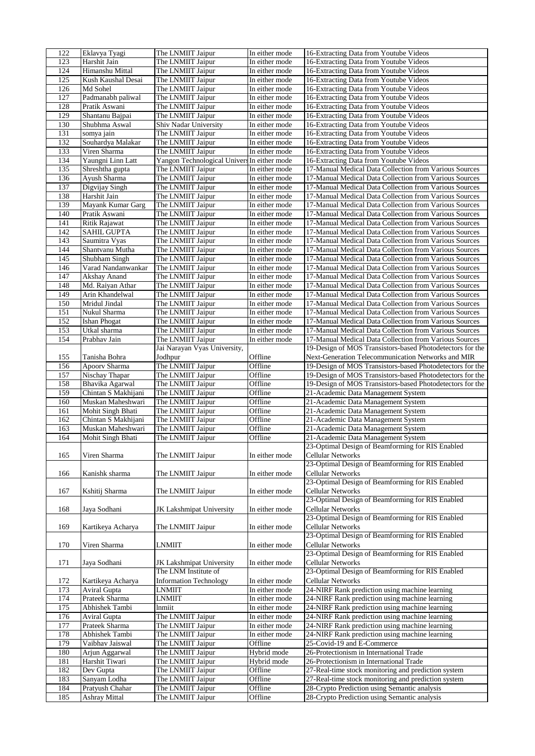| 122        | Eklavya Tyagi                    | The LNMIIT Jaipur                           | In either mode     | 16-Extracting Data from Youtube Videos                                                       |
|------------|----------------------------------|---------------------------------------------|--------------------|----------------------------------------------------------------------------------------------|
| 123        | Harshit Jain                     | The LNMIIT Jaipur                           | In either mode     | 16-Extracting Data from Youtube Videos                                                       |
| 124        | Himanshu Mittal                  | The LNMIIT Jaipur                           | In either mode     | 16-Extracting Data from Youtube Videos                                                       |
| 125        | Kush Kaushal Desai               | The LNMIIT Jaipur                           | In either mode     | 16-Extracting Data from Youtube Videos                                                       |
|            |                                  |                                             |                    |                                                                                              |
| 126        | Md Sohel                         | The LNMIIT Jaipur                           | In either mode     | 16-Extracting Data from Youtube Videos                                                       |
| 127        | Padmanabh paliwal                | The LNMIIT Jaipur                           | In either mode     | 16-Extracting Data from Youtube Videos                                                       |
| 128        | Pratik Aswani                    | The LNMIIT Jaipur                           | In either mode     | 16-Extracting Data from Youtube Videos                                                       |
| 129        | Shantanu Bajpai                  | The LNMIIT Jaipur                           | In either mode     | 16-Extracting Data from Youtube Videos                                                       |
| 130        | Shubhma Aswal                    | Shiv Nadar University                       | In either mode     | 16-Extracting Data from Youtube Videos                                                       |
| 131        |                                  | The LNMIIT Jaipur                           | In either mode     | 16-Extracting Data from Youtube Videos                                                       |
|            | somya jain                       |                                             |                    |                                                                                              |
| 132        | Souhardya Malakar                | The LNMIIT Jaipur                           | In either mode     | 16-Extracting Data from Youtube Videos                                                       |
| 133        | Viren Sharma                     | The LNMIIT Jaipur                           | In either mode     | 16-Extracting Data from Youtube Videos                                                       |
| 134        | Yaungni Linn Latt                | Yangon Technological Univers In either mode |                    | 16-Extracting Data from Youtube Videos                                                       |
| 135        | Shreshtha gupta                  | The LNMIIT Jaipur                           | In either mode     | 17-Manual Medical Data Collection from Various Sources                                       |
| 136        | Ayush Sharma                     | The LNMIIT Jaipur                           | In either mode     | 17-Manual Medical Data Collection from Various Sources                                       |
|            |                                  |                                             |                    |                                                                                              |
| 137        | Digvijay Singh                   | The LNMIIT Jaipur                           | In either mode     | 17-Manual Medical Data Collection from Various Sources                                       |
| 138        | Harshit Jain                     | The LNMIIT Jaipur                           | In either mode     | 17-Manual Medical Data Collection from Various Sources                                       |
| 139        | Mayank Kumar Garg                | The LNMIIT Jaipur                           | In either mode     | 17-Manual Medical Data Collection from Various Sources                                       |
| 140        | Pratik Aswani                    | The LNMIIT Jaipur                           | In either mode     | 17-Manual Medical Data Collection from Various Sources                                       |
| 141        | <b>Ritik Rajawat</b>             | The LNMIIT Jaipur                           | In either mode     | 17-Manual Medical Data Collection from Various Sources                                       |
|            |                                  |                                             |                    |                                                                                              |
| 142        | <b>SAHIL GUPTA</b>               | The LNMIIT Jaipur                           | In either mode     | 17-Manual Medical Data Collection from Various Sources                                       |
| 143        | Saumitra Vyas                    | The LNMIIT Jaipur                           | In either mode     | 17-Manual Medical Data Collection from Various Sources                                       |
| 144        | Shantvanu Mutha                  | The LNMIIT Jaipur                           | In either mode     | 17-Manual Medical Data Collection from Various Sources                                       |
| 145        | Shubham Singh                    | The LNMIIT Jaipur                           | In either mode     | 17-Manual Medical Data Collection from Various Sources                                       |
| 146        | Varad Nandanwankar               | The LNMIIT Jaipur                           | In either mode     | 17-Manual Medical Data Collection from Various Sources                                       |
|            |                                  |                                             |                    |                                                                                              |
| 147        | Akshay Anand                     | The LNMIIT Jaipur                           | In either mode     | 17-Manual Medical Data Collection from Various Sources                                       |
| 148        | Md. Raiyan Athar                 | The LNMIIT Jaipur                           | In either mode     | 17-Manual Medical Data Collection from Various Sources                                       |
| 149        | Arin Khandelwal                  | The LNMIIT Jaipur                           | In either mode     | 17-Manual Medical Data Collection from Various Sources                                       |
| 150        | Mridul Jindal                    | The LNMIIT Jaipur                           | In either mode     | 17-Manual Medical Data Collection from Various Sources                                       |
| 151        | Nukul Sharma                     | The LNMIIT Jaipur                           | In either mode     | 17-Manual Medical Data Collection from Various Sources                                       |
|            |                                  |                                             |                    |                                                                                              |
| 152        | <b>Ishan Phogat</b>              | The LNMIIT Jaipur                           | In either mode     | 17-Manual Medical Data Collection from Various Sources                                       |
| 153        | Utkal sharma                     | The LNMIIT Jaipur                           | In either mode     | 17-Manual Medical Data Collection from Various Sources                                       |
| 154        | Prabhav Jain                     | The LNMIIT Jaipur                           | In either mode     | 17-Manual Medical Data Collection from Various Sources                                       |
|            |                                  | Jai Narayan Vyas University,                |                    | 19-Design of MOS Transistors-based Photodetectors for the                                    |
| 155        | Tanisha Bohra                    | Jodhpur                                     | Offline            | Next-Generation Telecommunication Networks and MIR                                           |
|            | Apoorv Sharma                    | The LNMIIT Jaipur                           | Offline            | 19-Design of MOS Transistors-based Photodetectors for the                                    |
| 156        |                                  |                                             |                    |                                                                                              |
| 157        | Nischay Thapar                   | The LNMIIT Jaipur                           | Offline            | 19-Design of MOS Transistors-based Photodetectors for the                                    |
| 158        | Bhavika Agarwal                  | The LNMIIT Jaipur                           | Offline            | 19-Design of MOS Transistors-based Photodetectors for the                                    |
| 159        | Chintan S Makhijani              | The LNMIIT Jaipur                           | Offline            | 21-Academic Data Management System                                                           |
| 160        | Muskan Maheshwari                | The LNMIIT Jaipur                           | Offline            | 21-Academic Data Management System                                                           |
| 161        | Mohit Singh Bhati                | The LNMIIT Jaipur                           | Offline            | 21-Academic Data Management System                                                           |
|            |                                  |                                             |                    | 21-Academic Data Management System                                                           |
| 162        | Chintan S Makhijani              | The LNMIIT Jaipur                           | Offline            |                                                                                              |
| 163        | Muskan Maheshwari                | The LNMIIT Jaipur                           | Offline            | 21-Academic Data Management System                                                           |
| 164        | Mohit Singh Bhati                | The LNMIIT Jaipur                           | Offline            | 21-Academic Data Management System                                                           |
|            |                                  |                                             |                    | 23-Optimal Design of Beamforming for RIS Enabled                                             |
| 165        | Viren Sharma                     | The LNMIIT Jaipur                           | In either mode     | <b>Cellular Networks</b>                                                                     |
|            |                                  |                                             |                    | 23-Optimal Design of Beamforming for RIS Enabled                                             |
| 166        | Kanishk sharma                   |                                             | In either mode     | <b>Cellular Networks</b>                                                                     |
|            |                                  | The LNMIIT Jaipur                           |                    |                                                                                              |
|            |                                  |                                             |                    | 23-Optimal Design of Beamforming for RIS Enabled                                             |
| 167        | Kshitij Sharma                   | The LNMIIT Jaipur                           | In either mode     | Cellular Networks                                                                            |
|            |                                  |                                             |                    | 23-Optimal Design of Beamforming for RIS Enabled                                             |
| 168        | Jaya Sodhani                     | <b>JK Lakshmipat University</b>             | In either mode     |                                                                                              |
|            |                                  |                                             |                    |                                                                                              |
|            |                                  |                                             |                    | Cellular Networks                                                                            |
|            |                                  |                                             |                    | 23-Optimal Design of Beamforming for RIS Enabled                                             |
| 169        | Kartikeya Acharya                | The LNMIIT Jaipur                           | In either mode     | Cellular Networks                                                                            |
|            |                                  |                                             |                    | 23-Optimal Design of Beamforming for RIS Enabled                                             |
| 170        | Viren Sharma                     | <b>LNMIIT</b>                               | In either mode     | Cellular Networks                                                                            |
|            |                                  |                                             |                    | 23-Optimal Design of Beamforming for RIS Enabled                                             |
|            |                                  |                                             |                    |                                                                                              |
| 171        | Jaya Sodhani                     | JK Lakshmipat University                    | In either mode     | <b>Cellular Networks</b>                                                                     |
|            |                                  | The LNM Institute of                        |                    | 23-Optimal Design of Beamforming for RIS Enabled                                             |
| 172        | Kartikeya Acharya                | <b>Information Technology</b>               | In either mode     | Cellular Networks                                                                            |
| 173        | Aviral Gupta                     | <b>LNMIIT</b>                               | In either mode     | 24-NIRF Rank prediction using machine learning                                               |
| 174        | Prateek Sharma                   | <b>LNMIIT</b>                               | In either mode     | 24-NIRF Rank prediction using machine learning                                               |
|            |                                  |                                             |                    |                                                                                              |
| 175        | Abhishek Tambi                   | lnmiit                                      | In either mode     | 24-NIRF Rank prediction using machine learning                                               |
| 176        | Aviral Gupta                     | The LNMIIT Jaipur                           | In either mode     | 24-NIRF Rank prediction using machine learning                                               |
| 177        | Prateek Sharma                   | The LNMIIT Jaipur                           | In either mode     | 24-NIRF Rank prediction using machine learning                                               |
| 178        | Abhishek Tambi                   | The LNMIIT Jaipur                           | In either mode     | 24-NIRF Rank prediction using machine learning                                               |
| 179        | Vaibhav Jaiswal                  | The LNMIIT Jaipur                           | Offline            | 25-Covid-19 and E-Commerce                                                                   |
| 180        |                                  |                                             | Hybrid mode        | 26-Protectionism in International Trade                                                      |
|            | Arjun Aggarwal                   | The LNMIIT Jaipur                           |                    |                                                                                              |
| 181        | Harshit Tiwari                   | The LNMIIT Jaipur                           | Hybrid mode        | 26-Protectionism in International Trade                                                      |
| 182        | Dev Gupta                        | The LNMIIT Jaipur                           | Offline            | 27-Real-time stock monitoring and prediction system                                          |
| 183        | Sanyam Lodha                     | The LNMIIT Jaipur                           | Offline            | 27-Real-time stock monitoring and prediction system                                          |
| 184<br>185 | Pratyush Chahar<br>Ashray Mittal | The LNMIIT Jaipur<br>The LNMIIT Jaipur      | Offline<br>Offline | 28-Crypto Prediction using Semantic analysis<br>28-Crypto Prediction using Semantic analysis |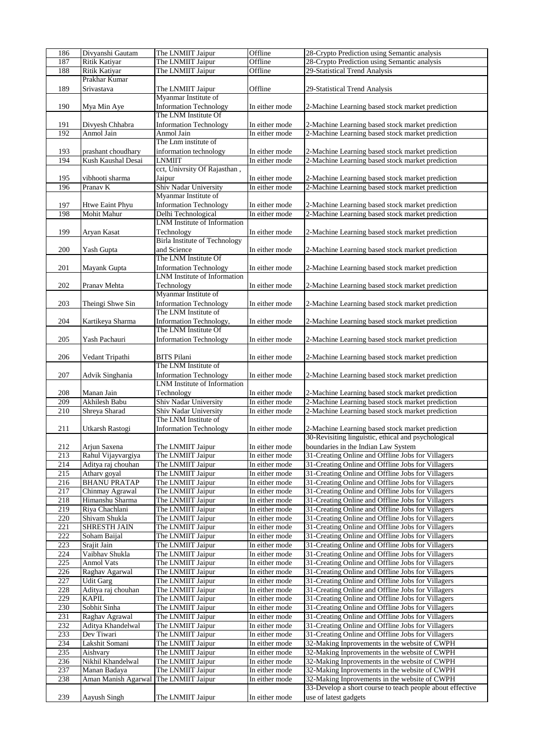| 186 | Divyanshi Gautam     | The LNMIIT Jaipur                               | Offline        | 28-Crypto Prediction using Semantic analysis              |
|-----|----------------------|-------------------------------------------------|----------------|-----------------------------------------------------------|
| 187 | Ritik Katiyar        | The LNMIIT Jaipur                               | Offline        | 28-Crypto Prediction using Semantic analysis              |
| 188 | Ritik Katiyar        | The LNMIIT Jaipur                               | Offline        | 29-Statistical Trend Analysis                             |
|     | Prakhar Kumar        |                                                 |                |                                                           |
|     |                      |                                                 |                |                                                           |
| 189 | Srivastava           | The LNMIIT Jaipur                               | Offline        | 29-Statistical Trend Analysis                             |
|     |                      | Myanmar Institute of                            |                |                                                           |
| 190 | Mya Min Aye          | <b>Information Technology</b>                   | In either mode | 2-Machine Learning based stock market prediction          |
|     |                      | The LNM Institute Of                            |                |                                                           |
| 191 | Divyesh Chhabra      | <b>Information Technology</b>                   | In either mode | 2-Machine Learning based stock market prediction          |
| 192 | Anmol Jain           | Anmol Jain                                      | In either mode | 2-Machine Learning based stock market prediction          |
|     |                      | The Lnm institute of                            |                |                                                           |
|     |                      |                                                 |                |                                                           |
| 193 | prashant choudhary   | information technology                          | In either mode | 2-Machine Learning based stock market prediction          |
| 194 | Kush Kaushal Desai   | <b>LNMIIT</b>                                   | In either mode | 2-Machine Learning based stock market prediction          |
|     |                      | ect, Univrsity Of Rajasthan,                    |                |                                                           |
| 195 | vibhooti sharma      | Jaipur                                          | In either mode | 2-Machine Learning based stock market prediction          |
| 196 | Pranav K             | Shiv Nadar University                           | In either mode | 2-Machine Learning based stock market prediction          |
|     |                      | Myanmar Institute of                            |                |                                                           |
|     |                      | <b>Information Technology</b>                   |                |                                                           |
| 197 | Htwe Eaint Phyu      |                                                 | In either mode | 2-Machine Learning based stock market prediction          |
| 198 | Mohit Mahur          | Delhi Technological                             | In either mode | 2-Machine Learning based stock market prediction          |
|     |                      | LNM Institute of Information                    |                |                                                           |
| 199 | Aryan Kasat          | Technology                                      | In either mode | 2-Machine Learning based stock market prediction          |
|     |                      | <b>Birla Institute of Technology</b>            |                |                                                           |
| 200 | Yash Gupta           | and Science                                     | In either mode | 2-Machine Learning based stock market prediction          |
|     |                      | The LNM Institute Of                            |                |                                                           |
|     |                      |                                                 |                |                                                           |
| 201 | Mayank Gupta         | <b>Information Technology</b>                   | In either mode | 2-Machine Learning based stock market prediction          |
|     |                      | <b>LNM</b> Institute of Information             |                |                                                           |
| 202 | Pranav Mehta         | Technology                                      | In either mode | 2-Machine Learning based stock market prediction          |
|     |                      | Myanmar Institute of                            |                |                                                           |
| 203 | Theingi Shwe Sin     | <b>Information Technology</b>                   | In either mode | 2-Machine Learning based stock market prediction          |
|     |                      | The LNM Institute of                            |                |                                                           |
|     |                      |                                                 |                |                                                           |
| 204 | Kartikeya Sharma     | Information Technology,<br>The LNM Institute Of | In either mode | 2-Machine Learning based stock market prediction          |
|     |                      |                                                 |                |                                                           |
| 205 | Yash Pachauri        | <b>Information Technology</b>                   | In either mode | 2-Machine Learning based stock market prediction          |
|     |                      |                                                 |                |                                                           |
| 206 | Vedant Tripathi      | BITS Pilani                                     | In either mode | 2-Machine Learning based stock market prediction          |
|     |                      | The LNM Institute of                            |                |                                                           |
|     |                      |                                                 |                |                                                           |
| 207 | Advik Singhania      | <b>Information Technology</b>                   | In either mode | 2-Machine Learning based stock market prediction          |
|     |                      | <b>LNM</b> Institute of Information             |                |                                                           |
| 208 | Manan Jain           | Technology                                      | In either mode | 2-Machine Learning based stock market prediction          |
| 209 | <b>Akhilesh Babu</b> | Shiv Nadar University                           | In either mode | 2-Machine Learning based stock market prediction          |
| 210 | Shreya Sharad        | Shiv Nadar University                           | In either mode | 2-Machine Learning based stock market prediction          |
|     |                      | The LNM Institute of                            |                |                                                           |
| 211 | Utkarsh Rastogi      | <b>Information Technology</b>                   | In either mode | 2-Machine Learning based stock market prediction          |
|     |                      |                                                 |                | 30-Revisiting linguistic, ethical and psychological       |
|     |                      |                                                 |                |                                                           |
| 212 | Ariun Saxena         | The LNMIIT Jaipur                               | In either mode | boundaries in the Indian Law System                       |
| 213 | Rahul Vijayvargiya   | The LNMIIT Jaipur                               | In either mode | 31-Creating Online and Offline Jobs for Villagers         |
| 214 | Aditya raj chouhan   | The LNMIIT Jaipur                               | In either mode | 31-Creating Online and Offline Jobs for Villagers         |
| 215 | Atharv goyal         | The LNMIIT Jaipur                               | In either mode | 31-Creating Online and Offline Jobs for Villagers         |
| 216 | <b>BHANU PRATAP</b>  | The LNMIIT Jaipur                               | In either mode | 31-Creating Online and Offline Jobs for Villagers         |
|     |                      |                                                 | In either mode |                                                           |
| 217 | Chinmay Agrawal      | The LNMIIT Jaipur                               |                | 31-Creating Online and Offline Jobs for Villagers         |
| 218 | Himanshu Sharma      | The LNMIIT Jaipur                               | In either mode | 31-Creating Online and Offline Jobs for Villagers         |
| 219 | Riya Chachlani       | The LNMIIT Jaipur                               | In either mode | 31-Creating Online and Offline Jobs for Villagers         |
| 220 | Shivam Shukla        | The LNMIIT Jaipur                               | In either mode | 31-Creating Online and Offline Jobs for Villagers         |
| 221 | SHRESTH JAIN         | The LNMIIT Jaipur                               | In either mode | 31-Creating Online and Offline Jobs for Villagers         |
| 222 | Soham Baijal         | The LNMIIT Jaipur                               | In either mode | 31-Creating Online and Offline Jobs for Villagers         |
| 223 | Srajit Jain          | The LNMIIT Jaipur                               | In either mode | 31-Creating Online and Offline Jobs for Villagers         |
|     |                      |                                                 |                |                                                           |
| 224 | Vaibhav Shukla       | The LNMIIT Jaipur                               | In either mode | 31-Creating Online and Offline Jobs for Villagers         |
| 225 | <b>Anmol Vats</b>    | The LNMIIT Jaipur                               | In either mode | 31-Creating Online and Offline Jobs for Villagers         |
| 226 | Raghav Agarwal       | The LNMIIT Jaipur                               | In either mode | 31-Creating Online and Offline Jobs for Villagers         |
| 227 | <b>Udit Garg</b>     | The LNMIIT Jaipur                               | In either mode | 31-Creating Online and Offline Jobs for Villagers         |
| 228 | Aditya raj chouhan   | The LNMIIT Jaipur                               | In either mode | 31-Creating Online and Offline Jobs for Villagers         |
| 229 | KAPIL                | The LNMIIT Jaipur                               | In either mode | 31-Creating Online and Offline Jobs for Villagers         |
|     |                      |                                                 |                |                                                           |
| 230 | Sobhit Sinha         | The LNMIIT Jaipur                               | In either mode | 31-Creating Online and Offline Jobs for Villagers         |
| 231 | Raghav Agrawal       | The LNMIIT Jaipur                               | In either mode | 31-Creating Online and Offline Jobs for Villagers         |
| 232 | Aditya Khandelwal    | The LNMIIT Jaipur                               | In either mode | 31-Creating Online and Offline Jobs for Villagers         |
| 233 | Dev Tiwari           | The LNMIIT Jaipur                               | In either mode | 31-Creating Online and Offline Jobs for Villagers         |
| 234 | Lakshit Somani       | The LNMIIT Jaipur                               | In either mode | 32-Making Inprovements in the website of CWPH             |
| 235 | Aishvary             | The LNMIIT Jaipur                               | In either mode | 32-Making Inprovements in the website of CWPH             |
| 236 | Nikhil Khandelwal    |                                                 |                |                                                           |
|     |                      | The LNMIIT Jaipur                               | In either mode | 32-Making Inprovements in the website of CWPH             |
| 237 | Manan Badaya         | The LNMIIT Jaipur                               | In either mode | 32-Making Inprovements in the website of CWPH             |
| 238 | Aman Manish Agarwal  | The LNMIIT Jaipur                               | In either mode | 32-Making Inprovements in the website of CWPH             |
|     |                      |                                                 |                | 33-Develop a short course to teach people about effective |
| 239 | Aayush Singh         | The LNMIIT Jaipur                               | In either mode | use of latest gadgets                                     |